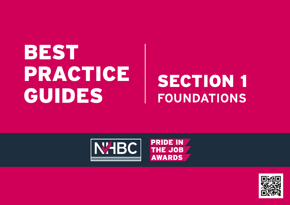# BEST PRACTICE GUIDES

# SECTION 1 **FOUNDATIONS**



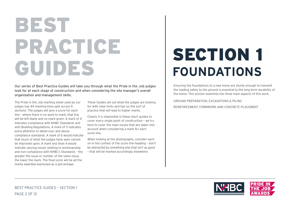# BEST PRACTICE GUIDES

Our series of Best Practice Guides will take you through what the Pride in the Job judges look for at each stage of construction and when considering the site manager's overall organisation and management skills.

The Pride in the Job marking sheet used by our judges has 44 marking lines split across 9 sections. The judges will give a score for each line – where there is no work to mark, that line will be left blank and no mark given. A mark of 4 indicates compliance with NHBC Standards and with Building Regulations. A mark of 5 indicates extra attention to detail over and above compliance standards. A mark of 6 would indicate that much of what the judges have seen cannot be improved upon. A mark less than 4 would indicate varying issues relating to workmanship and non-compliance with NHBC's Standards – the greater the issue or number of the same issue, the lower the mark. The final score will be all the marks awarded expressed as a percentage.

These Guides set out what the judges are looking for with clear hints and tips on the sort of practice that will lead to higher marks.

Clearly it is impossible in these short guides to cover every single point of construction – we try here to cover the main issues that are taken into account when considering a mark for each score line.

When looking at the photographs, consider each on in the context of the score line heading – don't be distracted by something else that isn't as good – that will be marked accordingly elsewhere.

# SECTION 1 **FOUNDATIONS**

Ensuring the foundations to a new home are sturdy enough to transmit the loading safely to the ground is essential to the long term durability of the home. This section examines the three main aspects of this work.

GROUND PREPARATION, EXCAVATIONS & PILING

REINFORCEMENT, FORMWORK AND CONCRETE PLACEMENT

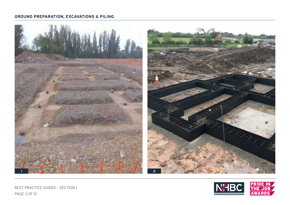



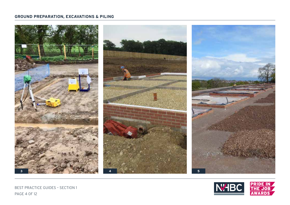

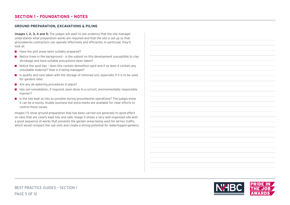#### **SECTION 1 – FOUNDATIONS – NOTES**

#### **GROUND PREPARATION, EXCAVATIONS & PILING**

**Images 1, 2, 3, 4 and 5:** The judges will want to see evidence that the site manager understands what preparation works are required and that the site is set up so that groundworks contractors can operate effectively and efficiently. In particular, they'll look at:

- Have the plot areas been suitably prepared?
- Notice trees in the background is the subsoil on this development susceptible to clay shrinkage and have suitable precautions been taken?
- Notice the spoil tips does this contain demolition spoil and if so does it contain any unsuitable material? How is it being managed?
- Is quality and care taken with the storage of removed soil, especially if it is to be used for gardens later.
- Are any de-watering procedures in place?
- Has soil remediation, if required, been done in a correct, environmentally responsible manner?
- Is the site kept as tidy as possible during groundworks operations? The judges know it can be a mucky, muddy business but extra marks are available for clear efforts to control these issues.

Images 1-5 show ground preparation that has been carried out generally to good effect on sites that are clearly kept tidy and safe. Image 5 shows a very well organised site with a good sequence of works that prevents the garden areas being used for ad hoc traffic, which would compact the sub soils and create a strong potential for waterlogged gardens.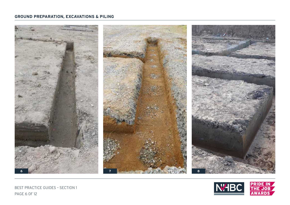

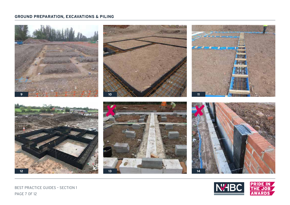

BEST PRACTICE GUIDES – SECTION 1 PAGE 7 0F 12

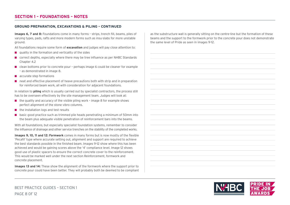#### **SECTION 1 – FOUNDATIONS – NOTES**

#### **GROUND PREPARATION, EXCAVATIONS & PILING – CONTINUED**

**Images 6, 7 and 8:** Foundations come in many forms – strips, trench fill, beams, piles of varying types, pads, rafts and more modern forms such as insu-slabs for more unstable ground.

All foundations require some form of **excavation** and judges will pay close attention to:

- quality in the formation and verticality of the sides
- correct depths, especially where there may be tree influence as per NHBC Standards Chapter 4.2
- clean bottoms prior to concrete pour perhaps image 6 could be cleaner for example – as demonstrated in image 8.
- accurate step formations
- neat and effective placement of heave precautions both with strip and in preparation for reinforced beam work, all with consideration for adjacent foundations.

In relation to **piling** which is usually carried out by specialist contractors, the process still has to be overseen effectively by the site management team. Judges will look at:

- the quality and accuracy of the visible piling work image 8 for example shows perfect alignment of the stone vibro columns.
- the installation logs and test results
- basic good practice such as trimmed pile heads penetrating a minimum of 50mm into the beam plus adequate visible penetration of reinforcement bars into the beams.

With all foundations, but especially specialist foundation systems, remember to consider the influence of drainage and other service trenches on the stability of the completed works.

**Images 9, 10, 11 and 12: Formwork** comes in many forms but is now mostly of the flexible 'Pecafil' type where accurate setting out, alignment and support are required to achieve the best standards possible in the finished beam. Images 9-12 show where this has been achieved and would be gaining scores above the '4' compliance level. Image 12 shows good use of plastic spacers to ensure the correct concrete cover to the reinforcement. This would be marked well under the next section Reinforcement, formwork and concrete placement.

**Images 13 and 14:** These show the alignment of the formwork where the support prior to concrete pour could have been better. They will probably both be deemed to be compliant

as the substructure wall is generally sitting on the centre-line but the formation of these beams and the support to the formwork prior to the concrete pour does not demonstrate the same level of Pride as seen in images 9-12.

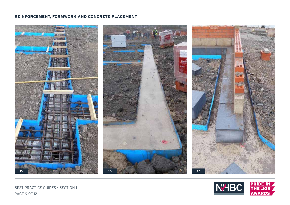## **REINFORCEMENT, FORMWORK AND CONCRETE PLACEMENT**







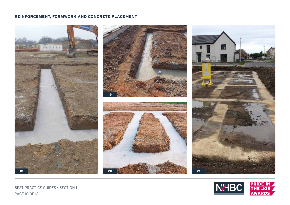## **REINFORCEMENT, FORMWORK AND CONCRETE PLACEMENT**



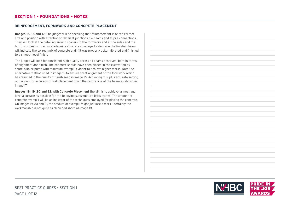#### **REINFORCEMENT, FORMWORK AND CONCRETE PLACEMENT**

**Images 15, 16 and 17:** The judges will be checking that reinforcement is of the correct size and position with attention to detail at junctions, tie beams and at pile connections. They will look at the detailing around spacers to the formwork and at the sides and the bottom of beams to ensure adequate concrete coverage. Evidence in the finished beam will indicate the correct mix of concrete and if it was properly poker vibrated and finished to a smooth level finish.

The judges will look for consistent high quality across all beams observed, both in terms of alignment and finish. The concrete should have been placed in the excavation by shute, skip or pump with minimum overspill evident to achieve higher marks. Note the alternative method used in image 15 to ensure great alignment of the formwork which has resulted in the quality of finish seen in image 16. Achieving this, plus accurate setting out, allows for accuracy of wall placement down the centre-line of the beam as shown in image 17.

**Images 18, 19, 20 and 21:** With **Concrete Placement** the aim is to achieve as neat and level a surface as possible for the following substructure brick trades. The amount of concrete overspill will be an indicator of the techniques employed for placing the concrete. On images 19, 20 and 21, the amount of overspill might just lose a mark – certainly the workmanship is not quite as clean and sharp as image 18.